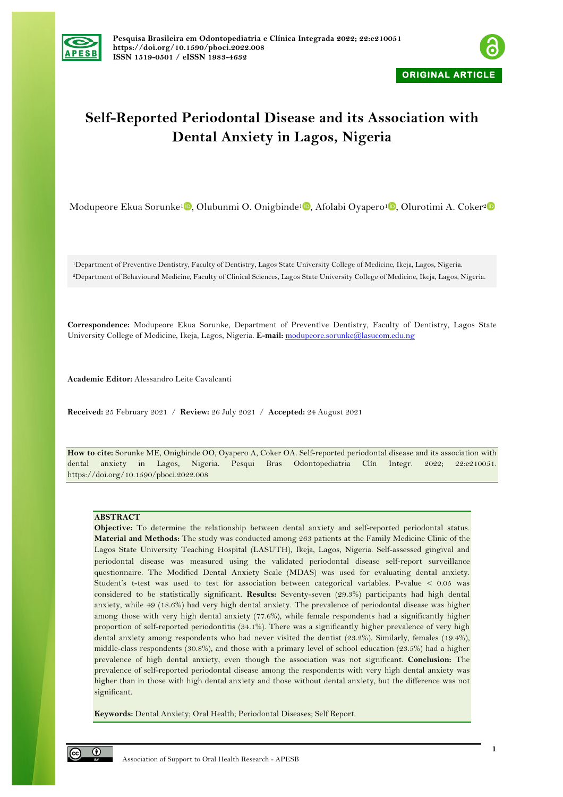



# **Self-Reported Periodontal Disease and its Association with Dental Anxiety in Lagos, Nigeria**

Modupeore Ekua Sorunke<sup>1</sup> D[,](https://orcid.org/0000-0003-4433-8276) Olubunmi O. Onigbinde<sup>1</sup> D, Afolabi Oyapero<sup>1</sup> D, Olurotimi A. Coker<sup>2</sup>

1Department of Preventive Dentistry, Faculty of Dentistry, Lagos State University College of Medicine, Ikeja, Lagos, Nigeria. 2Department of Behavioural Medicine, Faculty of Clinical Sciences, Lagos State University College of Medicine, Ikeja, Lagos, Nigeria.

**Correspondence:** Modupeore Ekua Sorunke, Department of Preventive Dentistry, Faculty of Dentistry, Lagos State University College of Medicine, Ikeja, Lagos, Nigeria. **E-mail:** modupeore.sorunke@lasucom.edu.ng

**Academic Editor:** Alessandro Leite Cavalcanti

**Received:** 25 February 2021 / **Review:** 26 July 2021 / **Accepted:** 24 August 2021

**How to cite:** Sorunke ME, Onigbinde OO, Oyapero A, Coker OA. Self-reported periodontal disease and its association with dental anxiety in Lagos, Nigeria. Pesqui Bras Odontopediatria Clín Integr. 2022; 22:e210051. https://doi.org/10.1590/pboci.2022.008

## **ABSTRACT**

**Objective:** To determine the relationship between dental anxiety and self-reported periodontal status. **Material and Methods:** The study was conducted among 263 patients at the Family Medicine Clinic of the Lagos State University Teaching Hospital (LASUTH), Ikeja, Lagos, Nigeria. Self-assessed gingival and periodontal disease was measured using the validated periodontal disease self-report surveillance questionnaire. The Modified Dental Anxiety Scale (MDAS) was used for evaluating dental anxiety. Student's t-test was used to test for association between categorical variables. P-value < 0.05 was considered to be statistically significant. **Results:** Seventy-seven (29.3%) participants had high dental anxiety, while 49 (18.6%) had very high dental anxiety. The prevalence of periodontal disease was higher among those with very high dental anxiety (77.6%), while female respondents had a significantly higher proportion of self-reported periodontitis (34.1%). There was a significantly higher prevalence of very high dental anxiety among respondents who had never visited the dentist (23.2%). Similarly, females (19.4%), middle-class respondents (30.8%), and those with a primary level of school education (23.5%) had a higher prevalence of high dental anxiety, even though the association was not significant. **Conclusion:** The prevalence of self-reported periodontal disease among the respondents with very high dental anxiety was higher than in those with high dental anxiety and those without dental anxiety, but the difference was not significant.

**Keywords:** Dental Anxiety; Oral Health; Periodontal Diseases; Self Report.

 $\odot$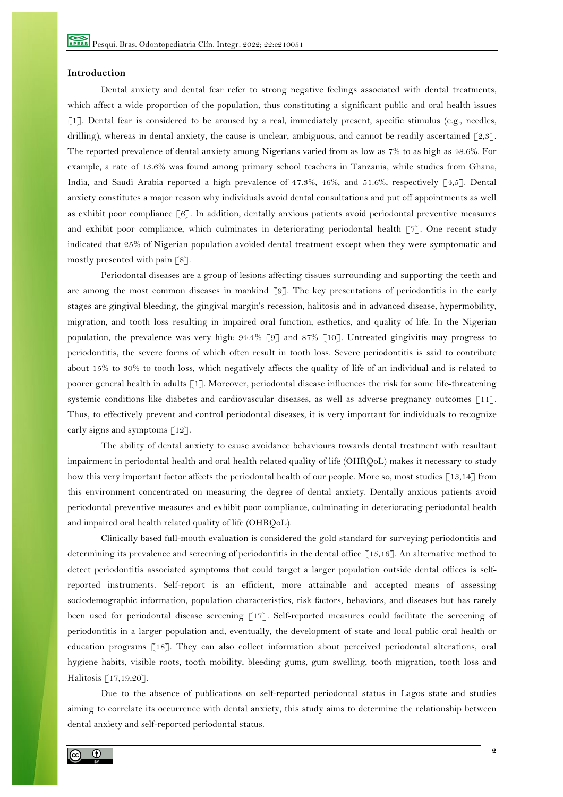#### **Introduction**

Dental anxiety and dental fear refer to strong negative feelings associated with dental treatments, which affect a wide proportion of the population, thus constituting a significant public and oral health issues [1]. Dental fear is considered to be aroused by a real, immediately present, specific stimulus (e.g., needles, drilling), whereas in dental anxiety, the cause is unclear, ambiguous, and cannot be readily ascertained  $\lceil 2,3 \rceil$ . The reported prevalence of dental anxiety among Nigerians varied from as low as 7% to as high as 48.6%. For example, a rate of 13.6% was found among primary school teachers in Tanzania, while studies from Ghana, India, and Saudi Arabia reported a high prevalence of 47.3%, 46%, and 51.6%, respectively [4,5]. Dental anxiety constitutes a major reason why individuals avoid dental consultations and put off appointments as well as exhibit poor compliance [6]. In addition, dentally anxious patients avoid periodontal preventive measures and exhibit poor compliance, which culminates in deteriorating periodontal health  $\lceil 7 \rceil$ . One recent study indicated that 25% of Nigerian population avoided dental treatment except when they were symptomatic and mostly presented with pain [8].

Periodontal diseases are a group of lesions affecting tissues surrounding and supporting the teeth and are among the most common diseases in mankind [9]. The key presentations of periodontitis in the early stages are gingival bleeding, the gingival margin's recession, halitosis and in advanced disease, hypermobility, migration, and tooth loss resulting in impaired oral function, esthetics, and quality of life. In the Nigerian population, the prevalence was very high: 94.4% [9] and 87% [10]. Untreated gingivitis may progress to periodontitis, the severe forms of which often result in tooth loss. Severe periodontitis is said to contribute about 15% to 30% to tooth loss, which negatively affects the quality of life of an individual and is related to poorer general health in adults [1]. Moreover, periodontal disease influences the risk for some life-threatening systemic conditions like diabetes and cardiovascular diseases, as well as adverse pregnancy outcomes [11]. Thus, to effectively prevent and control periodontal diseases, it is very important for individuals to recognize early signs and symptoms [12].

The ability of dental anxiety to cause avoidance behaviours towards dental treatment with resultant impairment in periodontal health and oral health related quality of life (OHRQoL) makes it necessary to study how this very important factor affects the periodontal health of our people. More so, most studies [13,14] from this environment concentrated on measuring the degree of dental anxiety. Dentally anxious patients avoid periodontal preventive measures and exhibit poor compliance, culminating in deteriorating periodontal health and impaired oral health related quality of life (OHRQoL).

Clinically based full-mouth evaluation is considered the gold standard for surveying periodontitis and determining its prevalence and screening of periodontitis in the dental office [15,16]. An alternative method to detect periodontitis associated symptoms that could target a larger population outside dental offices is selfreported instruments. Self-report is an efficient, more attainable and accepted means of assessing sociodemographic information, population characteristics, risk factors, behaviors, and diseases but has rarely been used for periodontal disease screening  $\lceil 17 \rceil$ . Self-reported measures could facilitate the screening of periodontitis in a larger population and, eventually, the development of state and local public oral health or education programs [18]. They can also collect information about perceived periodontal alterations, oral hygiene habits, visible roots, tooth mobility, bleeding gums, gum swelling, tooth migration, tooth loss and Halitosis [17,19,20].

Due to the absence of publications on self-reported periodontal status in Lagos state and studies aiming to correlate its occurrence with dental anxiety, this study aims to determine the relationship between dental anxiety and self-reported periodontal status.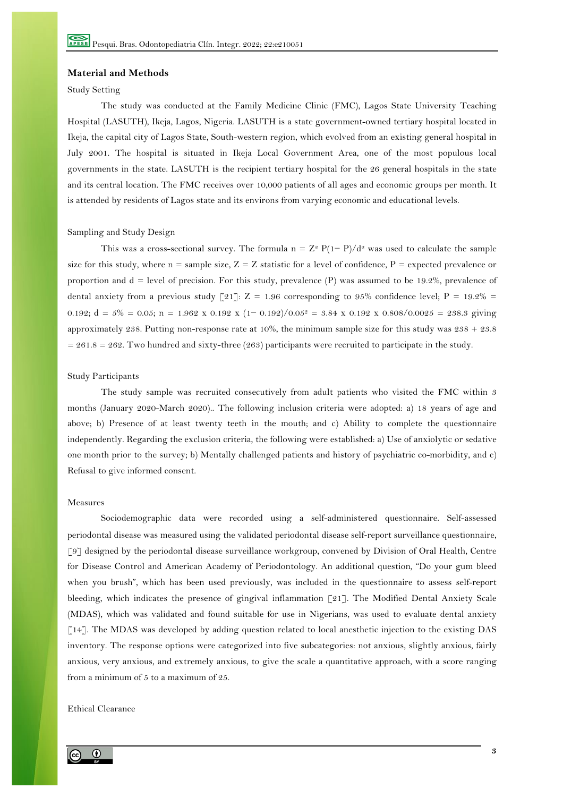#### **Material and Methods**

## Study Setting

The study was conducted at the Family Medicine Clinic (FMC), Lagos State University Teaching Hospital (LASUTH), Ikeja, Lagos, Nigeria. LASUTH is a state government-owned tertiary hospital located in Ikeja, the capital city of Lagos State, South-western region, which evolved from an existing general hospital in July 2001. The hospital is situated in Ikeja Local Government Area, one of the most populous local governments in the state. LASUTH is the recipient tertiary hospital for the 26 general hospitals in the state and its central location. The FMC receives over 10,000 patients of all ages and economic groups per month. It is attended by residents of Lagos state and its environs from varying economic and educational levels.

#### Sampling and Study Design

This was a cross-sectional survey. The formula n =  $Z^2 P(1-P)/d^2$  was used to calculate the sample size for this study, where  $n =$  sample size,  $Z = Z$  statistic for a level of confidence,  $P =$  expected prevalence or proportion and d = level of precision. For this study, prevalence (P) was assumed to be 19.2%, prevalence of dental anxiety from a previous study [21]:  $Z = 1.96$  corresponding to 95% confidence level;  $P = 19.2\% =$ 0.192;  $d = 5\% = 0.05$ ;  $n = 1.962 \times 0.192 \times (1 - 0.192)/0.05^2 = 3.84 \times 0.192 \times 0.808/0.0025 = 238.3$  giving approximately 238. Putting non-response rate at 10%, the minimum sample size for this study was  $238 + 23.8$  $= 261.8 = 262$ . Two hundred and sixty-three (263) participants were recruited to participate in the study.

#### Study Participants

The study sample was recruited consecutively from adult patients who visited the FMC within 3 months (January 2020-March 2020).. The following inclusion criteria were adopted: a) 18 years of age and above; b) Presence of at least twenty teeth in the mouth; and c) Ability to complete the questionnaire independently. Regarding the exclusion criteria, the following were established: a) Use of anxiolytic or sedative one month prior to the survey; b) Mentally challenged patients and history of psychiatric co-morbidity, and c) Refusal to give informed consent.

#### Measures

Sociodemographic data were recorded using a self-administered questionnaire. Self-assessed periodontal disease was measured using the validated periodontal disease self-report surveillance questionnaire, [9] designed by the periodontal disease surveillance workgroup, convened by Division of Oral Health, Centre for Disease Control and American Academy of Periodontology. An additional question, "Do your gum bleed when you brush", which has been used previously, was included in the questionnaire to assess self-report bleeding, which indicates the presence of gingival inflammation [21]. The Modified Dental Anxiety Scale (MDAS), which was validated and found suitable for use in Nigerians, was used to evaluate dental anxiety [14]. The MDAS was developed by adding question related to local anesthetic injection to the existing DAS inventory. The response options were categorized into five subcategories: not anxious, slightly anxious, fairly anxious, very anxious, and extremely anxious, to give the scale a quantitative approach, with a score ranging from a minimum of 5 to a maximum of 25.

### Ethical Clearance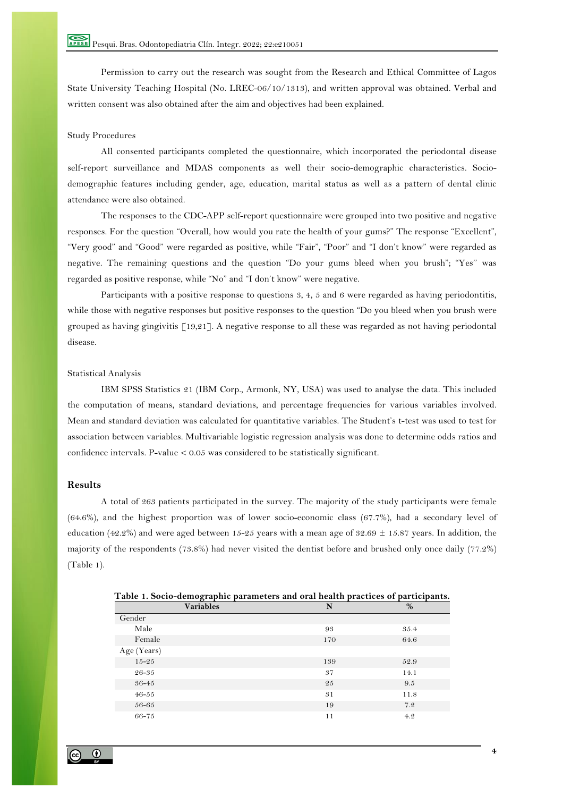Permission to carry out the research was sought from the Research and Ethical Committee of Lagos State University Teaching Hospital (No. LREC-06/10/1313), and written approval was obtained. Verbal and written consent was also obtained after the aim and objectives had been explained.

## Study Procedures

All consented participants completed the questionnaire, which incorporated the periodontal disease self-report surveillance and MDAS components as well their socio-demographic characteristics. Sociodemographic features including gender, age, education, marital status as well as a pattern of dental clinic attendance were also obtained.

The responses to the CDC-APP self-report questionnaire were grouped into two positive and negative responses. For the question "Overall, how would you rate the health of your gums?" The response "Excellent", "Very good" and "Good" were regarded as positive, while "Fair", "Poor" and "I don't know" were regarded as negative. The remaining questions and the question "Do your gums bleed when you brush"; "Yes'' was regarded as positive response, while "No" and "I don't know" were negative.

Participants with a positive response to questions 3, 4, 5 and 6 were regarded as having periodontitis, while those with negative responses but positive responses to the question "Do you bleed when you brush were grouped as having gingivitis [19,21]. A negative response to all these was regarded as not having periodontal disease.

#### Statistical Analysis

IBM SPSS Statistics 21 (IBM Corp., Armonk, NY, USA) was used to analyse the data. This included the computation of means, standard deviations, and percentage frequencies for various variables involved. Mean and standard deviation was calculated for quantitative variables. The Student's t-test was used to test for association between variables. Multivariable logistic regression analysis was done to determine odds ratios and confidence intervals. P-value < 0.05 was considered to be statistically significant.

## **Results**

A total of 263 patients participated in the survey. The majority of the study participants were female (64.6%), and the highest proportion was of lower socio-economic class (67.7%), had a secondary level of education (42.2%) and were aged between 15-25 years with a mean age of 32.69  $\pm$  15.87 years. In addition, the majority of the respondents (73.8%) had never visited the dentist before and brushed only once daily (77.2%) (Table 1).

| Table 1. Socio-demographic parameters and oral nealth practices of participants. |     |      |
|----------------------------------------------------------------------------------|-----|------|
| <b>Variables</b>                                                                 | N   | $\%$ |
| Gender                                                                           |     |      |
| Male                                                                             | 93  | 35.4 |
| Female                                                                           | 170 | 64.6 |
| Age (Years)                                                                      |     |      |
| $15 - 25$                                                                        | 139 | 52.9 |
| 26-35                                                                            | 37  | 14.1 |
| 36-45                                                                            | 25  | 9.5  |
| $46 - 55$                                                                        | 31  | 11.8 |
| 56-65                                                                            | 19  | 7.2  |
| 66-75                                                                            | 11  | 4.2  |
|                                                                                  |     |      |

**Table 1. Socio-demographic parameters and oral health practices of participants.**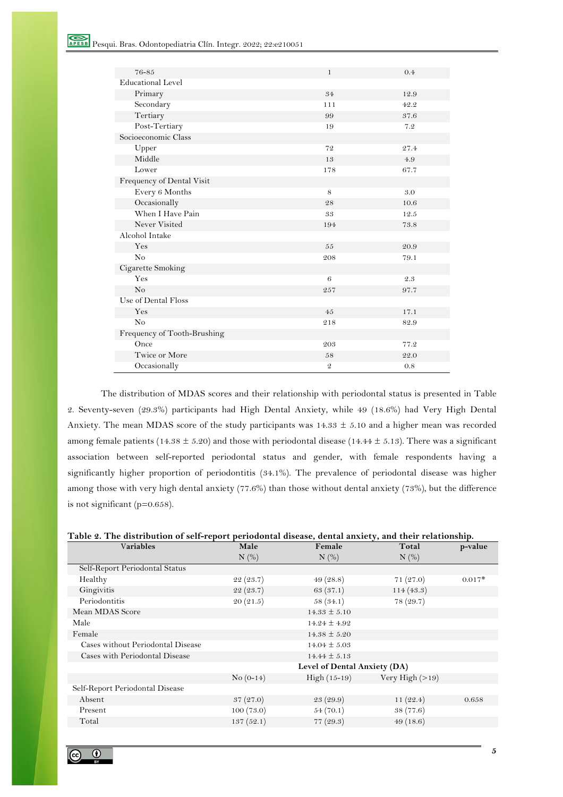| 76-85                       | $\mathbf{1}$   | 0.4  |
|-----------------------------|----------------|------|
| <b>Educational Level</b>    |                |      |
| Primary                     | 34             | 12.9 |
| Secondary                   | 111            | 42.2 |
| Tertiary                    | 99             | 37.6 |
| Post-Tertiary               | 19             | 7.2  |
| Socioeconomic Class         |                |      |
| Upper                       | 72             | 27.4 |
| Middle                      | 13             | 4.9  |
| Lower                       | 178            | 67.7 |
| Frequency of Dental Visit   |                |      |
| Every 6 Months              | 8              | 3.0  |
| Occasionally                | 28             | 10.6 |
| When I Have Pain            | 33             | 12.5 |
| Never Visited               | 194            | 73.8 |
| Alcohol Intake              |                |      |
| Yes                         | 55             | 20.9 |
| No                          | 208            | 79.1 |
| Cigarette Smoking           |                |      |
| Yes                         | 6              | 2.3  |
| No                          | 257            | 97.7 |
| Use of Dental Floss         |                |      |
| Yes                         | 45             | 17.1 |
| No                          | 218            | 82.9 |
| Frequency of Tooth-Brushing |                |      |
| Once                        | 203            | 77.2 |
| Twice or More               | 58             | 22.0 |
| Occasionally                | $\mathfrak{D}$ | 0.8  |

The distribution of MDAS scores and their relationship with periodontal status is presented in Table 2. Seventy-seven (29.3%) participants had High Dental Anxiety, while 49 (18.6%) had Very High Dental Anxiety. The mean MDAS score of the study participants was  $14.33 \pm 5.10$  and a higher mean was recorded among female patients (14.38  $\pm$  5.20) and those with periodontal disease (14.44  $\pm$  5.13). There was a significant association between self-reported periodontal status and gender, with female respondents having a significantly higher proportion of periodontitis (34.1%). The prevalence of periodontal disease was higher among those with very high dental anxiety (77.6%) than those without dental anxiety (73%), but the difference is not significant (p=0.658).

#### **Table 2. The distribution of self-report periodontal disease, dental anxiety, and their relationship.**

| <b>Variables</b>                  | Male                         | Female           | Total             | p-value  |  |
|-----------------------------------|------------------------------|------------------|-------------------|----------|--|
|                                   | $N$ (%)                      | $N$ (%)          | N(%)              |          |  |
| Self-Report Periodontal Status    |                              |                  |                   |          |  |
| Healthy                           | 22(23.7)                     | 49(28.8)         | 71(27.0)          | $0.017*$ |  |
| Gingivitis                        | 22(23.7)                     | 63(37.1)         | 114(43.3)         |          |  |
| Periodontitis                     | 20(21.5)                     | 58(34.1)         | 78(29.7)          |          |  |
| Mean MDAS Score                   |                              | $14.33 \pm 5.10$ |                   |          |  |
| Male                              |                              | $14.24 \pm 4.92$ |                   |          |  |
| Female                            |                              | $14.38 \pm 5.20$ |                   |          |  |
| Cases without Periodontal Disease |                              | $14.04 \pm 5.03$ |                   |          |  |
| Cases with Periodontal Disease    |                              | $14.44 \pm 5.13$ |                   |          |  |
|                                   | Level of Dental Anxiety (DA) |                  |                   |          |  |
|                                   | $No (0-14)$                  | $High (15-19)$   | Very High $(>19)$ |          |  |
| Self-Report Periodontal Disease   |                              |                  |                   |          |  |
| Absent                            | 37(27.0)                     | 23(29.9)         | 11(22.4)          | 0.658    |  |
| Present                           | 100(73.0)                    | 54(70.1)         | 38(77.6)          |          |  |
| Total                             | 137(52.1)                    | 77(29.3)         | 49(18.6)          |          |  |
|                                   |                              |                  |                   |          |  |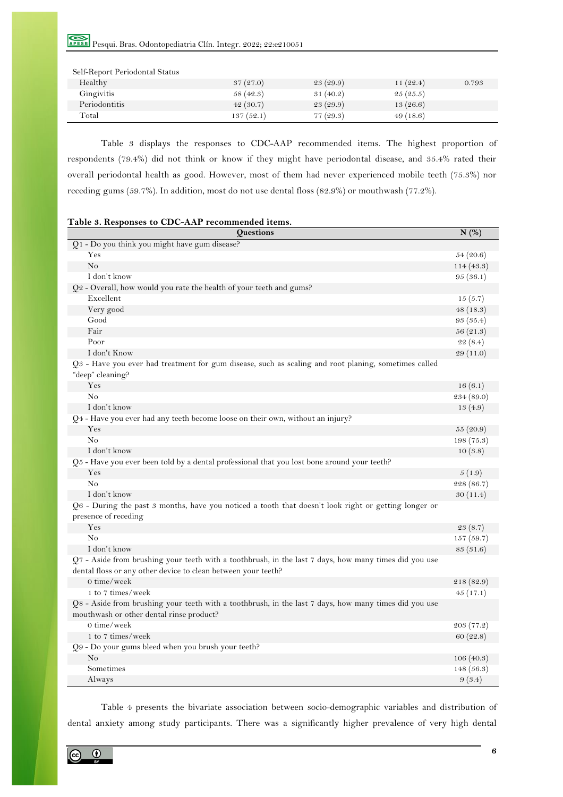Pesqui. Bras. Odontopediatria Clín. Integr. 2022; 22:e210051

| Self-Report Periodontal Status |           |          |             |       |
|--------------------------------|-----------|----------|-------------|-------|
| Healthy                        | 37(27.0)  | 23(29.9) | 11 $(22.4)$ | 0.793 |
| Gingivitis                     | 58(42.3)  | 31(40.2) | 25(25.5)    |       |
| Periodontitis                  | 42(30.7)  | 23(29.9) | 13(26.6)    |       |
| Total                          | 137(52.1) | 77(29.3) | 49(18.6)    |       |

Table 3 displays the responses to CDC-AAP recommended items. The highest proportion of respondents (79.4%) did not think or know if they might have periodontal disease, and 35.4% rated their overall periodontal health as good. However, most of them had never experienced mobile teeth (75.3%) nor receding gums (59.7%). In addition, most do not use dental floss (82.9%) or mouthwash (77.2%).

| Questions                                                                                                                                                              | N(%)       |
|------------------------------------------------------------------------------------------------------------------------------------------------------------------------|------------|
| Q1 - Do you think you might have gum disease?                                                                                                                          |            |
| Yes                                                                                                                                                                    | 54(20.6)   |
| N <sub>o</sub>                                                                                                                                                         | 114 (43.3) |
| I don't know                                                                                                                                                           | 95(36.1)   |
| Q2 - Overall, how would you rate the health of your teeth and gums?                                                                                                    |            |
| Excellent                                                                                                                                                              | 15(5.7)    |
| Very good                                                                                                                                                              | 48(18.3)   |
| Good                                                                                                                                                                   | 93(35.4)   |
| Fair                                                                                                                                                                   | 56 (21.3)  |
| Poor                                                                                                                                                                   | 22(8.4)    |
| I don't Know                                                                                                                                                           | 29 (11.0)  |
| Q3 - Have you ever had treatment for gum disease, such as scaling and root planing, sometimes called<br>"deep" cleaning?                                               |            |
| Yes                                                                                                                                                                    | 16(6.1)    |
| No                                                                                                                                                                     | 234(89.0)  |
| I don't know                                                                                                                                                           | 13(4.9)    |
| $Q_4$ - Have you ever had any teeth become loose on their own, without an injury?                                                                                      |            |
| Yes                                                                                                                                                                    | 55 (20.9)  |
| No                                                                                                                                                                     | 198(75.3)  |
| I don't know                                                                                                                                                           | 10(3.8)    |
| $Q5$ - Have you ever been told by a dental professional that you lost bone around your teeth?                                                                          |            |
| Yes                                                                                                                                                                    | 5(1.9)     |
| N <sub>0</sub>                                                                                                                                                         | 228 (86.7) |
| I don't know                                                                                                                                                           | 30(11.4)   |
| Q6 - During the past 3 months, have you noticed a tooth that doesn't look right or getting longer or<br>presence of receding                                           |            |
| Yes                                                                                                                                                                    | 23(8.7)    |
| N <sub>0</sub>                                                                                                                                                         | 157(59.7)  |
| I don't know                                                                                                                                                           | 83 (31.6)  |
| Q7 - Aside from brushing your teeth with a toothbrush, in the last 7 days, how many times did you use<br>dental floss or any other device to clean between your teeth? |            |
| $0 \times$ time/week                                                                                                                                                   | 218 (82.9) |
| 1 to 7 times/week                                                                                                                                                      | 45(17.1)   |
| Q8 - Aside from brushing your teeth with a toothbrush, in the last 7 days, how many times did you use<br>mouthwash or other dental rinse product?                      |            |
| $0 \times$ time/week                                                                                                                                                   | 203(77.2)  |
| 1 to 7 times/week                                                                                                                                                      | 60(22.8)   |
| Q9 - Do your gums bleed when you brush your teeth?                                                                                                                     |            |
| No                                                                                                                                                                     | 106(40.3)  |
| Sometimes                                                                                                                                                              | 148(56.3)  |
| Always                                                                                                                                                                 | 9(3.4)     |

Table 4 presents the bivariate association between socio-demographic variables and distribution of dental anxiety among study participants. There was a significantly higher prevalence of very high dental

 $\odot$  $\left[ 6 \right]$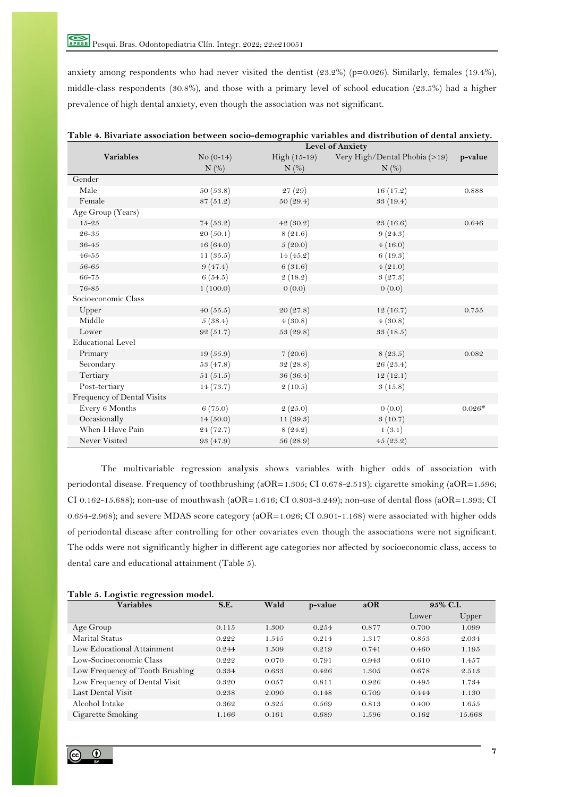anxiety among respondents who had never visited the dentist (23.2%) (p=0.026). Similarly, females (19.4%), middle-class respondents (30.8%), and those with a primary level of school education (23.5%) had a higher prevalence of high dental anxiety, even though the association was not significant.

|                            | <b>Level of Anxiety</b> |                |                               |          |  |
|----------------------------|-------------------------|----------------|-------------------------------|----------|--|
| <b>Variables</b>           | $No (0-14)$             | $High (15-19)$ | Very High/Dental Phobia (>19) | p-value  |  |
|                            | $N$ (%)                 | $N$ (%)        | $N$ (%)                       |          |  |
| Gender                     |                         |                |                               |          |  |
| Male                       | 50(53.8)                | 27 (29)        | 16(17.2)                      | 0.888    |  |
| Female                     | 87(51.2)                | 50(29.4)       | 33(19.4)                      |          |  |
| Age Group (Years)          |                         |                |                               |          |  |
| $15 - 25$                  | 74(53.2)                | 42(30.2)       | 23(16.6)                      | 0.646    |  |
| 26-35                      | 20 (50.1)               | 8(21.6)        | 9(24.3)                       |          |  |
| 36-45                      | 16(64.0)                | 5(20.0)        | 4(16.0)                       |          |  |
| $46 - 55$                  | 11(35.5)                | 14(45.2)       | 6(19.3)                       |          |  |
| 56-65                      | 9(47.4)                 | 6(31.6)        | 4(21.0)                       |          |  |
| 66-75                      | 6(54.5)                 | 2(18.2)        | 3(27.3)                       |          |  |
| 76-85                      | 1(100.0)                | 0(0.0)         | 0(0.0)                        |          |  |
| Socioeconomic Class        |                         |                |                               |          |  |
| Upper                      | 40(55.5)                | 20(27.8)       | 12(16.7)                      | 0.755    |  |
| Middle                     | 5(38.4)                 | 4(30.8)        | 4(30.8)                       |          |  |
| Lower                      | 92(51.7)                | 53 (29.8)      | 33(18.5)                      |          |  |
| <b>Educational Level</b>   |                         |                |                               |          |  |
| Primary                    | 19(55.9)                | 7(20.6)        | 8(23.5)                       | 0.082    |  |
| Secondary                  | 53 (47.8)               | 32 (28.8)      | 26 (23.4)                     |          |  |
| Tertiary                   | 51(51.5)                | 36 (36.4)      | 12(12.1)                      |          |  |
| Post-tertiary              | 14(73.7)                | 2(10.5)        | 3(15.8)                       |          |  |
| Frequency of Dental Visits |                         |                |                               |          |  |
| Every 6 Months             | 6(75.0)                 | 2(25.0)        | 0(0.0)                        | $0.026*$ |  |
| Occasionally               | 14(50.0)                | 11(39.3)       | 3(10.7)                       |          |  |
| When I Have Pain           | 24 (72.7)               | 8(24.2)        | 1(3.1)                        |          |  |
| Never Visited              | 93 (47.9)               | 56 (28.9)      | 45(23.2)                      |          |  |

**Table 4. Bivariate association between socio-demographic variables and distribution of dental anxiety.**

The multivariable regression analysis shows variables with higher odds of association with periodontal disease. Frequency of toothbrushing (aOR=1.305; CI 0.678-2.513); cigarette smoking (aOR=1.596; CI 0.162-15.688); non-use of mouthwash (aOR=1.616; CI 0.803-3.249); non-use of dental floss (aOR=1.393; CI 0.654-2.968); and severe MDAS score category (aOR=1.026; CI 0.901-1.168) were associated with higher odds of periodontal disease after controlling for other covariates even though the associations were not significant. The odds were not significantly higher in different age categories nor affected by socioeconomic class, access to dental care and educational attainment (Table 5).

| Table 5. Logistic regression model. |       |       |         |       |          |        |
|-------------------------------------|-------|-------|---------|-------|----------|--------|
| <b>Variables</b>                    | S.E.  | Wald  | p-value | aOR   | 95% C.I. |        |
|                                     |       |       |         |       | Lower    | Upper  |
| Age Group                           | 0.115 | 1.300 | 0.254   | 0.877 | 0.700    | 1.099  |
| Marital Status                      | 0.222 | 1.545 | 0.214   | 1.317 | 0.853    | 2.034  |
| Low Educational Attainment          | 0.244 | 1.509 | 0.219   | 0.741 | 0.460    | 1.195  |
| Low-Socioeconomic Class             | 0.222 | 0.070 | 0.791   | 0.943 | 0.610    | 1.457  |
| Low Frequency of Tooth Brushing     | 0.334 | 0.633 | 0.426   | 1.305 | 0.678    | 2.513  |
| Low Frequency of Dental Visit       | 0.320 | 0.057 | 0.811   | 0.926 | 0.495    | 1.734  |
| Last Dental Visit                   | 0.238 | 2.090 | 0.148   | 0.709 | 0.444    | 1.130  |
| Alcohol Intake                      | 0.362 | 0.325 | 0.569   | 0.813 | 0.400    | 1.655  |
| Cigarette Smoking                   | 1.166 | 0.161 | 0.689   | 1.596 | 0.162    | 15.668 |
|                                     |       |       |         |       |          |        |

## **Table 5. Logistic regression model.**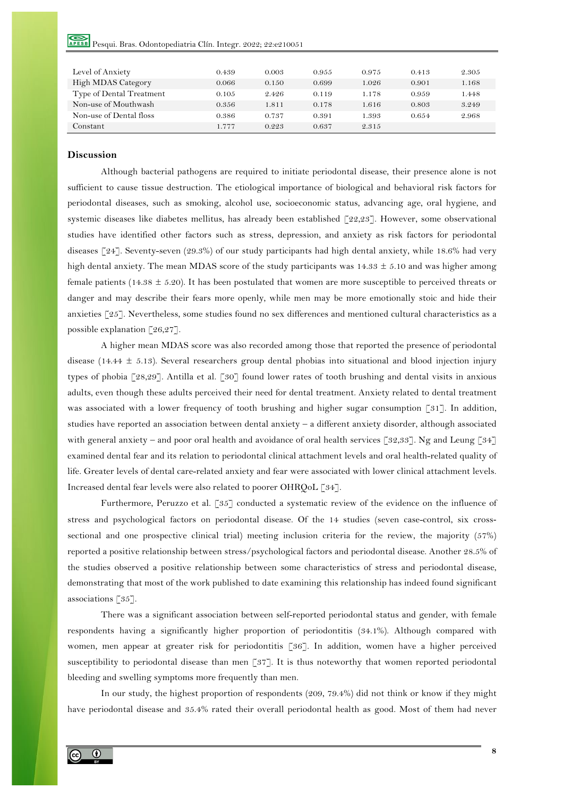| Level of Anxiety         | 0.439 | 0.003 | 0.955 | 0.975 | 0.413 | 2.305 |
|--------------------------|-------|-------|-------|-------|-------|-------|
| High MDAS Category       | 0.066 | 0.150 | 0.699 | 1.026 | 0.901 | 1.168 |
| Type of Dental Treatment | 0.105 | 2.426 | 0.119 | 1.178 | 0.959 | 1.448 |
| Non-use of Mouthwash     | 0.356 | 1.811 | 0.178 | 1.616 | 0.803 | 3.249 |
| Non-use of Dental floss  | 0.386 | 0.737 | 0.391 | 1.393 | 0.654 | 2.968 |
| Constant                 | 1.777 | 0.223 | 0.637 | 2.315 |       |       |

## **Discussion**

Although bacterial pathogens are required to initiate periodontal disease, their presence alone is not sufficient to cause tissue destruction. The etiological importance of biological and behavioral risk factors for periodontal diseases, such as smoking, alcohol use, socioeconomic status, advancing age, oral hygiene, and systemic diseases like diabetes mellitus, has already been established [22,23]. However, some observational studies have identified other factors such as stress, depression, and anxiety as risk factors for periodontal diseases [24]. Seventy-seven (29.3%) of our study participants had high dental anxiety, while 18.6% had very high dental anxiety. The mean MDAS score of the study participants was  $14.33 \pm 5.10$  and was higher among female patients (14.38  $\pm$  5.20). It has been postulated that women are more susceptible to perceived threats or danger and may describe their fears more openly, while men may be more emotionally stoic and hide their anxieties [25]. Nevertheless, some studies found no sex differences and mentioned cultural characteristics as a possible explanation [26,27].

A higher mean MDAS score was also recorded among those that reported the presence of periodontal disease (14.44  $\pm$  5.13). Several researchers group dental phobias into situational and blood injection injury types of phobia [28,29]. Antilla et al. [30] found lower rates of tooth brushing and dental visits in anxious adults, even though these adults perceived their need for dental treatment. Anxiety related to dental treatment was associated with a lower frequency of tooth brushing and higher sugar consumption [31]. In addition, studies have reported an association between dental anxiety – a different anxiety disorder, although associated with general anxiety – and poor oral health and avoidance of oral health services [32,33]. Ng and Leung [34] examined dental fear and its relation to periodontal clinical attachment levels and oral health-related quality of life. Greater levels of dental care-related anxiety and fear were associated with lower clinical attachment levels. Increased dental fear levels were also related to poorer OHRQoL [34].

Furthermore, Peruzzo et al. [35] conducted a systematic review of the evidence on the influence of stress and psychological factors on periodontal disease. Of the 14 studies (seven case-control, six crosssectional and one prospective clinical trial) meeting inclusion criteria for the review, the majority (57%) reported a positive relationship between stress/psychological factors and periodontal disease. Another 28.5% of the studies observed a positive relationship between some characteristics of stress and periodontal disease, demonstrating that most of the work published to date examining this relationship has indeed found significant associations [35].

There was a significant association between self-reported periodontal status and gender, with female respondents having a significantly higher proportion of periodontitis (34.1%). Although compared with women, men appear at greater risk for periodontitis [36]. In addition, women have a higher perceived susceptibility to periodontal disease than men [37]. It is thus noteworthy that women reported periodontal bleeding and swelling symptoms more frequently than men.

In our study, the highest proportion of respondents (209, 79.4%) did not think or know if they might have periodontal disease and 35.4% rated their overall periodontal health as good. Most of them had never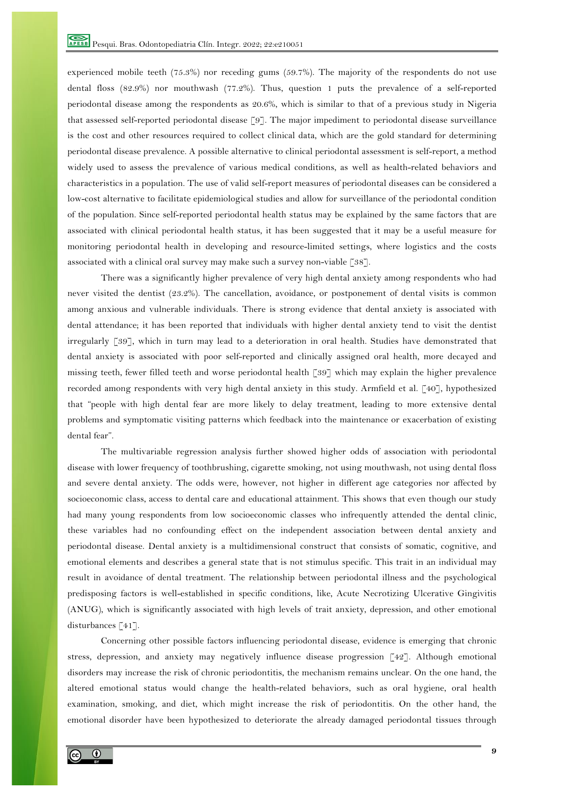experienced mobile teeth (75.3%) nor receding gums (59.7%). The majority of the respondents do not use dental floss (82.9%) nor mouthwash (77.2%). Thus, question 1 puts the prevalence of a self-reported periodontal disease among the respondents as 20.6%, which is similar to that of a previous study in Nigeria that assessed self-reported periodontal disease [9]. The major impediment to periodontal disease surveillance is the cost and other resources required to collect clinical data, which are the gold standard for determining periodontal disease prevalence. A possible alternative to clinical periodontal assessment is self-report, a method widely used to assess the prevalence of various medical conditions, as well as health-related behaviors and characteristics in a population. The use of valid self-report measures of periodontal diseases can be considered a low-cost alternative to facilitate epidemiological studies and allow for surveillance of the periodontal condition of the population. Since self-reported periodontal health status may be explained by the same factors that are associated with clinical periodontal health status, it has been suggested that it may be a useful measure for monitoring periodontal health in developing and resource-limited settings, where logistics and the costs associated with a clinical oral survey may make such a survey non-viable [38].

There was a significantly higher prevalence of very high dental anxiety among respondents who had never visited the dentist (23.2%). The cancellation, avoidance, or postponement of dental visits is common among anxious and vulnerable individuals. There is strong evidence that dental anxiety is associated with dental attendance; it has been reported that individuals with higher dental anxiety tend to visit the dentist irregularly [39], which in turn may lead to a deterioration in oral health. Studies have demonstrated that dental anxiety is associated with poor self-reported and clinically assigned oral health, more decayed and missing teeth, fewer filled teeth and worse periodontal health [39] which may explain the higher prevalence recorded among respondents with very high dental anxiety in this study. Armfield et al. [40], hypothesized that "people with high dental fear are more likely to delay treatment, leading to more extensive dental problems and symptomatic visiting patterns which feedback into the maintenance or exacerbation of existing dental fear".

The multivariable regression analysis further showed higher odds of association with periodontal disease with lower frequency of toothbrushing, cigarette smoking, not using mouthwash, not using dental floss and severe dental anxiety. The odds were, however, not higher in different age categories nor affected by socioeconomic class, access to dental care and educational attainment. This shows that even though our study had many young respondents from low socioeconomic classes who infrequently attended the dental clinic, these variables had no confounding effect on the independent association between dental anxiety and periodontal disease. Dental anxiety is a multidimensional construct that consists of somatic, cognitive, and emotional elements and describes a general state that is not stimulus specific. This trait in an individual may result in avoidance of dental treatment. The relationship between periodontal illness and the psychological predisposing factors is well-established in specific conditions, like, Acute Necrotizing Ulcerative Gingivitis (ANUG), which is significantly associated with high levels of trait anxiety, depression, and other emotional disturbances [41].

Concerning other possible factors influencing periodontal disease, evidence is emerging that chronic stress, depression, and anxiety may negatively influence disease progression [42]. Although emotional disorders may increase the risk of chronic periodontitis, the mechanism remains unclear. On the one hand, the altered emotional status would change the health-related behaviors, such as oral hygiene, oral health examination, smoking, and diet, which might increase the risk of periodontitis. On the other hand, the emotional disorder have been hypothesized to deteriorate the already damaged periodontal tissues through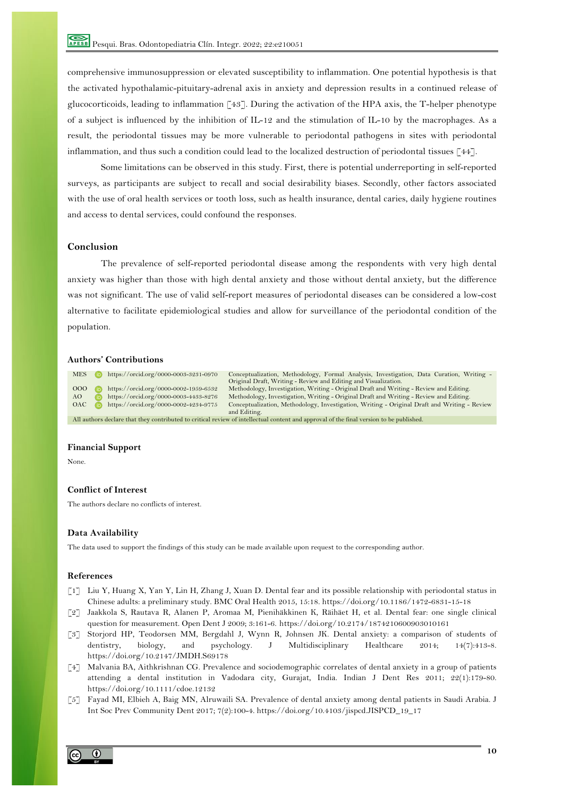comprehensive immunosuppression or elevated susceptibility to inflammation. One potential hypothesis is that the activated hypothalamic-pituitary-adrenal axis in anxiety and depression results in a continued release of glucocorticoids, leading to inflammation  $\lceil 43 \rceil$ . During the activation of the HPA axis, the T-helper phenotype of a subject is influenced by the inhibition of IL-12 and the stimulation of IL-10 by the macrophages. As a result, the periodontal tissues may be more vulnerable to periodontal pathogens in sites with periodontal inflammation, and thus such a condition could lead to the localized destruction of periodontal tissues [44].

Some limitations can be observed in this study. First, there is potential underreporting in self-reported surveys, as participants are subject to recall and social desirability biases. Secondly, other factors associated with the use of oral health services or tooth loss, such as health insurance, dental caries, daily hygiene routines and access to dental services, could confound the responses.

## **Conclusion**

The prevalence of self-reported periodontal disease among the respondents with very high dental anxiety was higher than those with high dental anxiety and those without dental anxiety, but the difference was not significant. The use of valid self-report measures of periodontal diseases can be considered a low-cost alternative to facilitate epidemiological studies and allow for surveillance of the periodontal condition of the population.

#### **Authors' Contributions**

MES https://orcid.org/0000-0003-3231-0970 Conceptualization, Methodology, Formal Analysis, Investigation, Data Curation, Writing - Original Draft, Writing - Review and Editing and Visualization. OOO https://orcid.org/0000-0002-1959-6532 Methodology, Investigation, Writing - Original Draft and Writing - Review and Editing. AO https://orcid.org/0000-0003-4433-8276 Methodology, Investigation, Writing - Original Draft and Writing - Review and Editing<br>OAC https://orcid.org/0000-0002-4234-9775 Conceptualization, Methodology, Investigation, Writin Conceptualization, Methodology, Investigation, Writing - Original Draft and Writing - Review and Editing. All authors declare that they contributed to critical review of intellectual content and approval of the final version to be published.

#### **Financial Support**

None.

## **Conflict of Interest**

The authors declare no conflicts of interest.

## **Data Availability**

The data used to support the findings of this study can be made available upon request to the corresponding author.

#### **References**

- [1] Liu Y, Huang X, Yan Y, Lin H, Zhang J, Xuan D. Dental fear and its possible relationship with periodontal status in Chinese adults: a preliminary study. BMC Oral Health 2015, 15:18. https://doi.org/10.1186/1472-6831-15-18
- [2] Jaakkola S, Rautava R, Alanen P, Aromaa M, Pienihäkkinen K, Räihäet H, et al. Dental fear: one single clinical question for measurement. Open Dent J 2009; 3:161-6. https://doi.org/10.2174/1874210600903010161
- [3] Storjord HP, Teodorsen MM, Bergdahl J, Wynn R, Johnsen JK. Dental anxiety: a comparison of students of dentistry, biology, and psychology. J Multidisciplinary Healthcare 2014; 14(7):413-8. https://doi.org/10.2147/JMDH.S69178
- [4] Malvania BA, Aithkrishnan CG. Prevalence and sociodemographic correlates of dental anxiety in a group of patients attending a dental institution in Vadodara city, Gurajat, India. Indian J Dent Res 2011; 22(1):179-80. https://doi.org/10.1111/cdoe.12132
- [5] Fayad MI, Elbieh A, Baig MN, Alruwaili SA. Prevalence of dental anxiety among dental patients in Saudi Arabia. J Int Soc Prev Community Dent 2017; 7(2):100-4. https://doi.org/10.4103/jispcd.JISPCD\_19\_17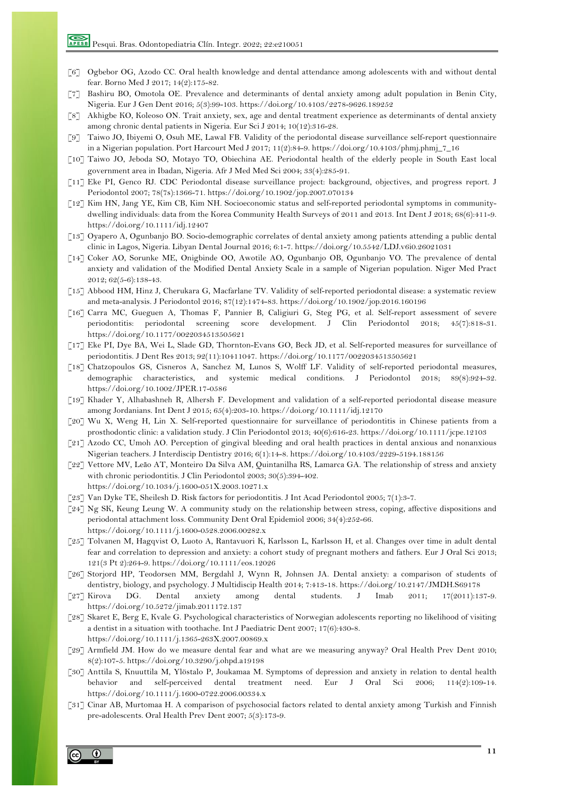- [6] Ogbebor OG, Azodo CC. Oral health knowledge and dental attendance among adolescents with and without dental fear. Borno Med J 2017; 14(2):175-82.
- [7] Bashiru BO, Omotola OE. Prevalence and determinants of dental anxiety among adult population in Benin City, Nigeria. Eur J Gen Dent 2016; 5(3):99-103. https://doi.org/10.4103/2278-9626.189252
- [8] Akhigbe KO, Koleoso ON. Trait anxiety, sex, age and dental treatment experience as determinants of dental anxiety among chronic dental patients in Nigeria. Eur Sci J 2014; 10(12):316-28.
- [9] Taiwo JO, Ibiyemi O, Osuh ME, Lawal FB. Validity of the periodontal disease surveillance self-report questionnaire in a Nigerian population. Port Harcourt Med J 2017; 11(2):84-9. https://doi.org/10.4103/phmj.phmj\_7\_16
- [10] Taiwo JO, Jeboda SO, Motayo TO, Obiechina AE. Periodontal health of the elderly people in South East local government area in Ibadan, Nigeria. Afr J Med Med Sci 2004; 33(4):285-91.
- [11] Eke PI, Genco RJ. CDC Periodontal disease surveillance project: background, objectives, and progress report. J Periodontol 2007; 78(7s):1366-71. https://doi.org/10.1902/jop.2007.070134
- [12] Kim HN, Jang YE, Kim CB, Kim NH. Socioeconomic status and self-reported periodontal symptoms in communitydwelling individuals: data from the Korea Community Health Surveys of 2011 and 2013. Int Dent J 2018; 68(6):411-9. https://doi.org/10.1111/idj.12407
- [13] Oyapero A, Ogunbanjo BO. Socio-demographic correlates of dental anxiety among patients attending a public dental clinic in Lagos, Nigeria. Libyan Dental Journal 2016; 6:1-7. https://doi.org/10.5542/LDJ.v6i0.26021031
- [14] Coker AO, Sorunke ME, Onigbinde OO, Awotile AO, Ogunbanjo OB, Ogunbanjo VO. The prevalence of dental anxiety and validation of the Modified Dental Anxiety Scale in a sample of Nigerian population. Niger Med Pract 2012; 62(5-6):138-43.
- [15] Abbood HM, Hinz J, Cherukara G, Macfarlane TV. Validity of self-reported periodontal disease: a systematic review and meta-analysis. J Periodontol 2016; 87(12):1474-83. https://doi.org/10.1902/jop.2016.160196
- [16] Carra MC, Gueguen A, Thomas F, Pannier B, Caligiuri G, Steg PG, et al. Self-report assessment of severe periodontitis: periodontal screening score development. J Clin Periodontol 2018; 45(7):818-31. https://doi.org/10.1177/0022034513505621
- [17] Eke PI, Dye BA, Wei L, Slade GD, Thornton-Evans GO, Beck JD, et al. Self-reported measures for surveillance of periodontitis. J Dent Res 2013; 92(11):10411047. https://doi.org/10.1177/0022034513505621
- [18] Chatzopoulos GS, Cisneros A, Sanchez M, Lunos S, Wolff LF. Validity of self-reported periodontal measures, demographic characteristics, and systemic medical conditions. J Periodontol 2018; 89(8):924-32. https://doi.org/10.1002/JPER.17-0586
- [19] Khader Y, Alhabashneh R, Alhersh F. Development and validation of a self-reported periodontal disease measure among Jordanians. Int Dent J 2015; 65(4):203-10. https://doi.org/10.1111/idj.12170
- [20] Wu X, Weng H, Lin X. Self-reported questionnaire for surveillance of periodontitis in Chinese patients from a prosthodontic clinic: a validation study. J Clin Periodontol 2013; 40(6):616-23. https://doi.org/10.1111/jcpe.12103
- [21] Azodo CC, Umoh AO. Perception of gingival bleeding and oral health practices in dental anxious and nonanxious Nigerian teachers. J Interdiscip Dentistry 2016; 6(1):14-8. https://doi.org/10.4103/2229-5194.188156
- [22] Vettore MV, Leão AT, Monteiro Da Silva AM, Quintanilha RS, Lamarca GA. The relationship of stress and anxiety with chronic periodontitis. J Clin Periodontol 2003; 30(5):394-402. https://doi.org/10.1034/j.1600-051X.2003.10271.x
- [23] Van Dyke TE, Sheilesh D. Risk factors for periodontitis. J Int Acad Periodontol 2005; 7(1):3-7.
- [24] Ng SK, Keung Leung W. A community study on the relationship between stress, coping, affective dispositions and periodontal attachment loss. Community Dent Oral Epidemiol 2006; 34(4):252-66. https://doi.org/10.1111/j.1600-0528.2006.00282.x
- [25] Tolvanen M, Hagqvist O, Luoto A, Rantavuori K, Karlsson L, Karlsson H, et al. Changes over time in adult dental fear and correlation to depression and anxiety: a cohort study of pregnant mothers and fathers. Eur J Oral Sci 2013; 121(3 Pt 2):264-9. https://doi.org/10.1111/eos.12026
- [26] Storjord HP, Teodorsen MM, Bergdahl J, Wynn R, Johnsen JA. Dental anxiety: a comparison of students of dentistry, biology, and psychology. J Multidiscip Health 2014; 7:413-18. https://doi.org/10.2147/JMDH.S69178
- [27] Kirova DG. Dental anxiety among dental students. J Imab 2011; 17(2011):137-9. https://doi.org/10.5272/jimab.2011172.137
- [28] Skaret E, Berg E, Kvale G. Psychological characteristics of Norwegian adolescents reporting no likelihood of visiting a dentist in a situation with toothache. Int J Paediatric Dent 2007; 17(6):430-8. https://doi.org/10.1111/j.1365-263X.2007.00869.x
- [29] Armfield JM. How do we measure dental fear and what are we measuring anyway? Oral Health Prev Dent 2010; 8(2):107-5. https://doi.org/10.3290/j.ohpd.a19198
- [30] Anttila S, Knuuttila M, Ylöstalo P, Joukamaa M. Symptoms of depression and anxiety in relation to dental health behavior and self-perceived dental treatment need. Eur J Oral Sci 2006; 114(2):109-14. https://doi.org/10.1111/j.1600-0722.2006.00334.x
- [31] Cinar AB, Murtomaa H. A comparison of psychosocial factors related to dental anxiety among Turkish and Finnish pre-adolescents. Oral Health Prev Dent 2007; 5(3):173-9.